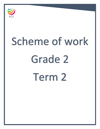

# Scheme of work Grade 2 Term 2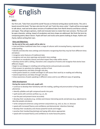

Our first unit, 'Tales from around the world' focuses on fictional writing about world stories. The unit is based around the book 'The bear who lost his tail' and 'Yoshi the stone cutter'. Pupils will be encouraged to talk about, read and write about versions of traditional tales from North America and Norse cultures, and Japan. They will give opinions, retell and innovate texts to create their own versions. The focus will be upon character, setting, impact of vocabulary and story shape are addressed. We finish the term by composing poetry about nature. Pupils will learn and recite some poems looking at shape, rhythm and rhyme, before writing their own.

## **Aims and Objectives:**

## **By the end of the unit, pupils will be able to:**

- read and follow traditional tales from a range of cultures with increasing fluency, expression and understanding
- identify and describe story settings and characters recognising that they may be from different times and places
- recognise some features of traditional tales
- recognise and use story openings and predict story endings
- comment on vocabulary choices and what impact they make within stories
- develop stories with a setting, characters and a sequence of events and recognise that stories have different shapes
- begin to use dialogue in retelling and writing stories and punctuate accurately
- find answers to questions by reading a section of text
- extend experiences and ideas through role play.
- write poems based on a model and begin to self-assess their work by re-reading and reflecting
- extend experiences and ideas through role play
- show awareness of poets speaking in different voices and try out different ways of speaking.

#### **Skills Development**

## **During the course of this unit, pupils will:**

• continue to develop their familiarity with the reading, spelling and pronunciation of long vowel phonemes

- identify syllables and split compound words into parts
- spell words with common prefixes e.g. un, dis
- use the past and present tense accurately
- develop their vocabulary (e.g. similes) and choose interesting words and phrases (e.g. adjectives) to describe people and places
- write compound sentences using common conjunctions e.g. and, so, but, or, because
- speak with increased fluency and confidence and demonstrate 'attentive listening'.
- develop their vocabulary and choose powerful words and images
- practise their handwriting (joining) and typing skills where appropriate
- speak with increased fluency and confidence to recite favourite poems.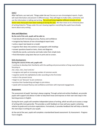After half term, our next unit, 'Things under the sea' focuses on non-chronological reports. Pupils will read information and present in different ways. They will begin to make notes, summarise and use the information in talking and writing. The unit will draw together different strands of nonfiction texts that pupils have been looking at during the year. We then move on to a fictional piece of writing linked to 'Things under the sea' drawing together everything the pupils have already learnt about story writing.

#### **Aims and Objectives:**

#### **By the end of the unit, pupils will be able to:**

- read aloud with increasing accuracy, fluency and confidence
- recognise key features of non-chronological report texts
- write a report text based on a model
- organise their ideas into sections or paragraphs with headings
- answer questions based on texts, charts and diagrams
- identify key words, summarise and make notes from simple texts
- find information using texts that are in print and on screen.

#### Skills Development:

## **During the course of this unit, pupils will:**

• continue to develop their familiarity with the spelling and pronunciation of long vowel phonemes focusing on

/oi/, /ow/, /air/, /ear/ and /er/

- recognise and spell an increasing number of common words
- organise words into alphabetical order according to the first letter
- write in the present tense
- begin to use 'because' to join sentences
- practise their handwriting and begin to join letters
- speak with increased fluency and confidence and listen with improved engagement.

#### **Assessment:**

The assessment of pupils' learning is always ongoing. Through verbal and written feedback, we provide pupils with support and advice in order to help them know and improve on their own next steps in the learning process in English.

During the term, pupils will complete independent pieces of writing, which we will use to assess a range of writing skills more generally. This provides us with feedback on how well your pupils is attaining relative to grade and curriculum expectations. Formatively, it provides feedback that will help us identify the next steps in writing for your pupils.

At the end of the year, pupils will complete a standardised based assessment: GL Assessment - Progress Test in English.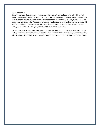#### **Support at home:**

Research indicates that reading is a very strong determiner of how well your child will achieve in all areas of learning and we wish to foster a wonderful reading culture in our school. There is also a strong correlation between achievement and the number of books in your home. To help your child at home, please read with them daily. This can mean reading aloud to your child as well as listening to your child reading aloud to you. Reading can also take many forms; it might be reading signs when out and about, reading online material, games, magazines, subtitles on the television etc.

Children also need to learn their spellings (or sounds) daily and then continue to revise them after any spelling assessments or dictations to ensure they have embedded an ever increasing number of spelling rules or sounds. Remember, we are aiming for long term memory rather than short term performance.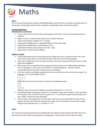

Our first unit of learning will continue with Multiplication and Division for two weeks, focusing more on the division and grouping. Pupils will be using their multiplication facts to help them divide.

# **Learning Objectives:**

# **Multiplication and Division**

- Count in twos, fives and tens and use grouping in twos fives or tens to count larger groups of numbers
- Begin to count in small constant steps such as threes and fours.
- Learn and recognise multiples of 2, 5 and 10.
- Understand multiplication as repeated addition and use the x sign.
- Understand multiplication as describing an array.
- $\bullet$  Understand division as grouping and use the  $\div$  sign.
- Make sense of simple word problems.

## **Support at home**

- In the supermarket (and at home) look out for things that come in packets of two, five or ten and count in twos, fives or tens to find out how many there are in several packets.
- Look out for things that come in threes and fours and count in groups of threes or fours to find how many altogether.
- When amounts are repeated, count in groups but then express as a multiplication calculation too. For example, 5, 10, 15, 20, 25, 30. That's 6 x 5 which equals 30.' Ask your child to occasionally write the number sentence for the calculation.
- An array is when something is organized into rows and columns to be counted more easily. For example, a 2 X 3 array might look like:

where we could count the number of squares in the following ways:

2 x 3  $3 + 3$ 

 $2 + 2 + 2$ 

Organise items into arrays to support counting in groups of 2, 3, 4, 5 or 10.

- Link putting things into groups to division. For example, 'There are 24 sweets, so let's put them into 3 groups of 8, so that all three of us get 8.  $24 \div 3 = 8'$  Ask your pupils to occasionally write the number sentence for the calculation.
- Share sweets, colouring pencils or other items into three or four equal piles for three or four people. Link the result with the relevant times table. So if 24 sweets are shared with 3 pupils, they get 8 each because  $24 \div 3 = 8$  and  $8 \times 3 = 24$ .

# **Unit 2**

Our second unit of learning will look at handling data and statistics where pupils will collect their own data and record their data in block graphs and pictograms. They will then use this data to answer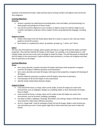questions and interpret the data. Pupils will also look at sorting numbers and objects into Carroll and Venn diagrams.

## **Learning Objectives:**

## **Statistics**

- Answer a question by collecting and recording data in lists and tables, and representing it as block graphs and pictograms to show results.
- Use Carroll and Venn diagrams to sort numbers or objects using one criterion; begin to sort numbers and objects using two criteria; explain choices using appropriate language, including 'not'.

## **Support at home**

- Collect information from the family about ideas for a meal or a pace to visit. And use a block graph to record the answers.
- Sort clothes in a cupboard by colour, by weather, by type e.g., T-shirts, not T-shirts.

## **Unit 3**

The last unit of the half term is Shape, where pupilss will look at a range of 2D and 3D shapes and their properties. They will then identify 2D shapes on 3D shapes. For example, a tin of baked beans is a 3D cylinder shape, but has two circles and a rectangle to make the shape. This will help pupils to identify 3D and 2D shapes in the environment. Pupilss will learn what symmetry is, so they can recognise and draw lines of symmetry on 2D shapes.

## **Learning Objectives:**

# **Shape**

- Sort, name, describe, visualise and draw 2D shapes referring to their properties; recognise common 2D shapes in different positions and orientations.
- Sort, name, describe and make 3D shapes referring to their properties, recognise 2D drawings of 3D shapes.
- Identify reflective symmetry in patterns and 2D shapes; draw lines of symmetry.
- Find examples of 2D and 3D shapes in the environment.
- Identify simple relationships between shapes.

# **Support at home**

- Look around the house, in shops, when out for walks, at how 2D shapes are used in the environment, such as wallpaper, designs on a building, labels on food. Remember 2D shapes have no depth.
- Look around the house, in shops, when out for walks at how 3D shapes are used in the environment, such as furniture, buildings, packaging.
- Use ideas on fabric, wallpaper, drawings. Remember, just cutting a shape in half does not always mean that the 2 sides show reflective symmetry.
- Go on a 'shape walk'. Look for examples of both 2D and 3D shapes. Make a note of what you saw and where you saw it. Some pupils might like to draw what they have seen to take into school.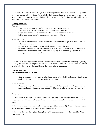The second half of the half term will begin by introducing fractions. Pupils will learn how to say, write and recognise equivalent fractions. Pupils will also find halves and quarters of numbers and quantities before recognising shapes which are split into halves and quarters. The fractions unit will build on their multiplication and division knowledge.

# **Learning Objectives:**

## **Fractions**

- **•** Recognise that we write one half  $\frac{1}{2}$ , one quarter,  $\frac{1}{4}$  and three quarters  $\frac{3}{4}$ .
- Recognise that  $2/2$  or 4/4 make a whole and  $\frac{1}{2}$  and  $2/4$  are equivalent.
- Recognise which shapes are divided into halves or quarters and which are not.
- Find halves and quarters of shapes and small numbers of objects.

#### **Support at home**

- Ask your child to show you how to label halves, quarters and three-quarters of amounts in the kitchen and elsewhere.
- Compare halves and quarters, asking which combinations are the same.
- Ask your child to help you decide where to cut when cutting something in half or into quarters. When finding half of an amount, share into two equal piles. When finding a quarter of an amount, share into four equal piles.

Our final unit of learning this term will be length and height where pupils will be measuring objects by choosing the correct measuring tool and using the correct unit of measure. They will compare different lengths using the > < and = signs, building on their knowledge of place value.

#### **Learning Objectives:**

#### **Measurement: Length and Height**

 Estimate, measure and compare lengths choosing and using suitable uniform non-standard and standard units and appropriate measuring instruments.

#### **Support at home**

 Let your child help with cooking, or preparing a meal. Roll out biscuits or pastry, some wide, some long. Get them to measure our biscuits to different lengths, using rulers to measure.

#### **Assessment**

The assessment of the pupils' learning is ongoing through every lesson. Through verbal and written feedback, we provide pupils with support and advice in order to move their learning on in every Maths lesson.

At the end of every unit, the pupils will be assessed against the learning objectives. Pupils and parents will be given feedback on objectives that need more practise.

At the end of the year, the pupils will complete the GL Assessments as well as the Cambridge Primary Progression Test.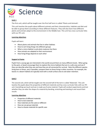

The first unit, which will be taught over the first half term is called 'Plants and Animals'.

This unit teaches the pupils about different animals and their characteristics, habitats and diet and be able to group them according to these different features. They will also learn how different plants and animals adapt to the environment in the Middle East. This unit has cross-curricular links with our IPC unit.

# **Learning objectives**

Pupils will learn:

- About plants and animals that live in other habitats
- How to sort living things into different groups
- What a micro-habitat is and what creatures live there
- How animals are adapted to their environment
- How living things depend on each other

## **Support at home**

Pupils from a young age are interested in the world around them on many different levels. When going to the park, or beach encourage them to explore the micro-habitats that are in a safe area and see if they can describe what they see and how they are all connected for survival. Note the different species living here in Oman, and, if possible, compare them to those living in other countries. For example, the leaves in a desert habitat are typically hard with a small surface area to aid water retention.

# **Unit 2**

The second unit, which will be taught over the second half of the term is called 'Materials'. This unit teaches the pupils about the properties of different materials and has cross curricular links with our IPC unit. Everything we touch and see is made up of some material. Pupils will conduct experiments and test whether they can alter the shape of a material by bending, stretching and twisting it and record their results

# **Learning objectives**

- Properties of different materials
- How to test materials
- How materials are the same or different
- How we can group materials
- How to choose materials for specific uses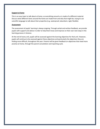#### **Support at home**

This is an easy topic to talk about at home, as everything around us is made of a different material. Discuss what different items around the home are made from and why that might be, trying to use scientific language to talk about their properties (e.g. waterproof, absorbent, rigid, flexible).

#### **Assessment**

The assessment of pupils' learning is always ongoing. Through verbal and written feedback, we provide pupils with support and advice in order to help them know and improve on their own next steps in the learning process in Science.

At the end of every unit, pupils will be assessed against the learning objectives for that unit. However, pupils will continue to be assessed against these objectives and particularly the objectives they are finding more difficult, throughout the year. Parents will be given feedback on objectives that need more practise at home, through the parent consultation and reporting cycle.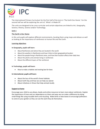

The International Primary Curriculum for the first half of the term is 'The Earth Our Home'. For the second half we will be exploring the unit of, 'What's it Made Of'.

The units are designed to be cross curricular and certain objectives are linked to Art, Geography, Science, History, Science and/or Technology.

# **Unit 1**

# **The Earth is Our Home**

In this unit pupils will explore different environments, locating them using maps and atlases as well as looking at the importance of rainforests to human life and the Earth.

## **Learning objectives**

## **In Geography, pupils will learn**:

- About Rainforests and where they are located in the world
- About the weather in Rainforests and how it links to their geographical location
- About the people living in Rainforest areas, and how their location affects their daily lives
- About the plants and animals living in rainforests
- About the different layers of the rainforest

# **In Technology, pupils will learn:**

How to make a habitat and nesting box for bees

# **In International, pupils will learn:**

- About the loss of the world's forest habitats
- About Earth Day and how we can help our planet
- About initiatives in Oman that help animals locally

# **Support at home**

Encourage your child to use atlases, books and online resources to learn more about rainforests. Explain the importance of trees and our dependence on them and ways we can make a difference by doing small things like using reusable items and recycling. Make birds or bees boxes to encourage pollinators to come to your garden so they can see the work they do themselves.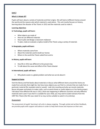# **What's it Made Of?**

Pupils will learn about a variety of materials and their origins. We will look at different homes around the world and the reasons why which material is used where. This unit mostly focuses on history, learning about the disaster of the Titanic in 1912 and the materials used to make it.

#### **Learning objectives**

## **In Technology, pupils will learn:**

- What objects are made of
- How we use different materials
- How to plan and design a classroom makeover
- To plan, make an evaluate a replica model of the Titanic using a variety of materials

#### **In Geography, pupils will learn:**

- Where materials come from
- About the materials used to build our homes
- Where in the world the Titanic sailed from and to

#### **In History, pupils will learn:**

- How life in 1912 was different to the present day
- To talk about the cause and effect of the Titanic disaster

#### **In International, pupils will learn:**

Why plastic waste is a global problem and what we can do about it

#### **Support at home**

Visit the library and find books about materials or discuss what different items around the home are made from and why that might be. See how many objects you can find in a minute that are made from a particular material (for example metal or wood). Look into recycling and why we recycle materials. Reuse old paper and plastic to make crafts, such as wind chimes or useful objects as a fun family project. Talk about how different life was in 1912, what was happening in different countries and why different materials were used. If you feel it is suitable for your child, you may wish to watch extracts from the 1997 film *Titanic* (the film was rated 12 so may not be suitable to watch in its entirety).

#### **Assessment**

The assessment of pupils' learning in all units is always ongoing. Through verbal and written feedback, we provide pupils with support and advice in order to help them know and improve on their own.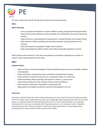

This term, pupils will study PE through Sports Day prep and invasion games,

# **Unit 1**

# **Sports Day prep:**

- In this unit pupils will experience simple modified running, jumping and throwing activities.
- Pupils will accurately replicate running challenges and competitions that require speed and stamina.
- Pupils will focus on developing and improving their running technique and concept of pace.
- Pupils will learn different pushing and throwing techniques for gaining distance and accuracy.
- Pupils will experience jumping for height and for distance.
- Pupils will develop the ability to follow rules safely and handle equipment correctly.

Pupil's practice will culminate in a KS1 Sports day based on all students competing at a number of stations whilst representing their house team.

# **Unit 2**

# **Invasion Games:**

- Pupils will look to develop knowledge of basic/simplified ball games such as benchball, handball and basketball
- Pupils will practice improving hand eye coordination through these activities
- Pupils will look to maintain possession of a moving ball in pairs or a small team.
- Pupils will develop skills for getting a ball towards a target e.g. scoring zone.
- Pupils will be introduced to the concepts of basic attack and defence.
- Pupils will look at elements of teamwork in passing the ball.
- Body position and weight transference will also be developed in this unit.

# **Swimming:**

All pupils at AGS will follow the whole school swimming curriculum. Pupils will work through ascending levels of a holistic swim programme that leads up to Cambridge iGCSE standard (Level 10). The level that pupils are working towards are determined based on their current swimming ability. The expected working level for each age corresponds with the grade pupils are in, for example, Grade 1 should be working towards level 1 whereas Grade 5 should be working towards level 5. Some pupils will be working below or above expected levels based on their ability.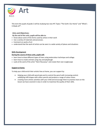

This term the pupils of grade 2 will be studying two new IPC Topics "The Earth: Our Home" and "What's it Made of?".

# **Aims and Objectives:**

## **By the end of the units, pupils will be able to:**

- Know about some of the forms used by artists in their work
- Use a variety of materials and processes.
- Comment on works of art
- understand that the work of artists can be seen in a wide variety of places and situations

## **Skills Development**

## **During the course of these units, pupils will:**

- learn how to draw different types of trees using watercolour technique and collage.
- learn how to create animals using clay and playdough.
- Look at the work of the artist "Henri Rousseau" and create their own Junglescape

#### **Support at home:**

To help your child enrich their artistic lives at home, you can support by:

- Helping your child with pencil grip and to control the pencil with increasing control. solidifying infill shapes with colour pencils and produce a range of colour tones.
- creating more artistic activities with your child and encourage them to practise more on the lesson we have covered in class in order to maximise the quality of their skills.